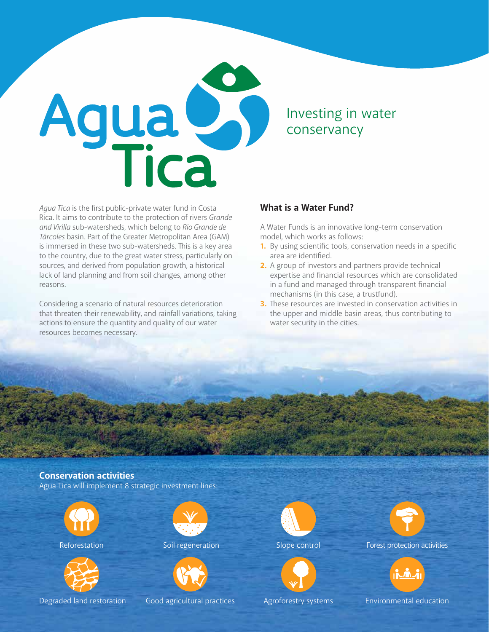

Investing in water conservancy

*Agua Tica* is the first public-private water fund in Costa Rica. It aims to contribute to the protection of rivers *Grande and Virilla* sub-watersheds, which belong to *Rio Grande de Tárcoles* basin. Part of the Greater Metropolitan Area (GAM) is immersed in these two sub-watersheds. This is a key area to the country, due to the great water stress, particularly on sources, and derived from population growth, a historical lack of land planning and from soil changes, among other reasons.

Considering a scenario of natural resources deterioration that threaten their renewability, and rainfall variations, taking actions to ensure the quantity and quality of our water resources becomes necessary.

### **What is a Water Fund?**

A Water Funds is an innovative long-term conservation model, which works as follows:

- **1.** By using scientific tools, conservation needs in a specific area are identified.
- **2.** A group of investors and partners provide technical expertise and financial resources which are consolidated in a fund and managed through transparent financial mechanisms (in this case, a trustfund).
- **3.** These resources are invested in conservation activities in the upper and middle basin areas, thus contributing to water security in the cities.

**Conservation activities** Agua Tica will implement 8 strategic investment lines:



Reforestation **Soll regeneration** Slope control



Degraded land restoration Good agricultural practices





Forest protection activities



Agroforestry systems Environmental education